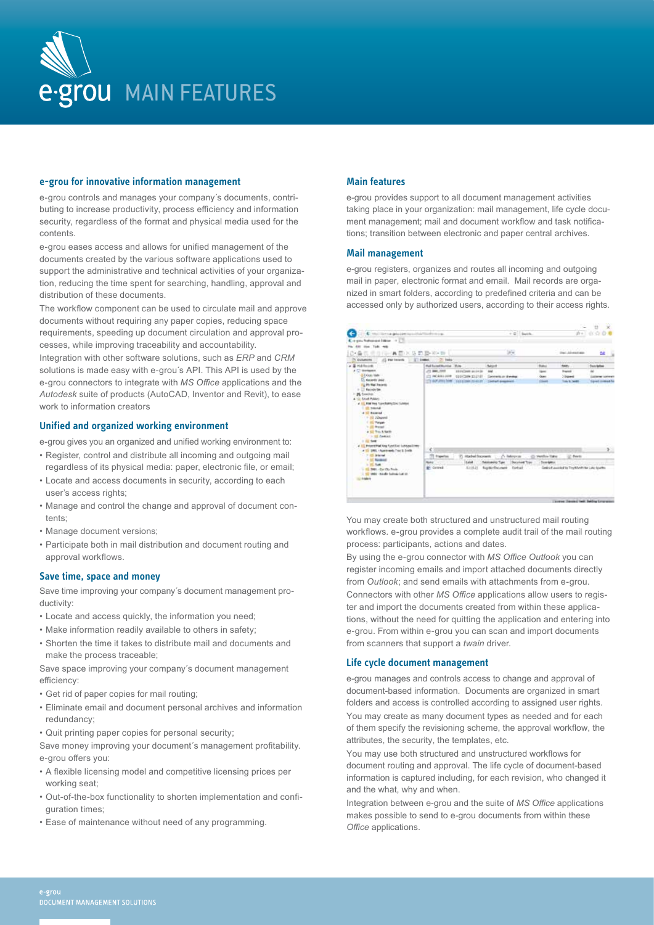

### **e-grou for innovative information management**

e-grou controls and manages your company´s documents, contributing to increase productivity, process efficiency and information security, regardless of the format and physical media used for the contents.

e-grou eases access and allows for unified management of the documents created by the various software applications used to support the administrative and technical activities of your organization, reducing the time spent for searching, handling, approval and distribution of these documents.

The workflow component can be used to circulate mail and approve documents without requiring any paper copies, reducing space requirements, speeding up document circulation and approval processes, while improving traceability and accountability.

Integration with other software solutions, such as *ERP* and *CRM* solutions is made easy with e-grou´s API. This API is used by the e-grou connectors to integrate with *MS Office* applications and the *Autodesk* suite of products (AutoCAD, Inventor and Revit), to ease work to information creators

# **Unified and organized working environment**

e-grou gives you an organized and unified working environment to:

- Register, control and distribute all incoming and outgoing mail
- regardless of its physical media: paper, electronic file, or email; • Locate and access documents in security, according to each
- user's access rights;
- Manage and control the change and approval of document contents;
- Manage document versions;
- Participate both in mail distribution and document routing and approval workflows.

## **Save time, space and money**

Save time improving your company´s document management productivity:

- Locate and access quickly, the information you need;
- Make information readily available to others in safety;
- Shorten the time it takes to distribute mail and documents and make the process traceable;

Save space improving your company´s document management efficiency:

- Get rid of paper copies for mail routing;
- Eliminate email and document personal archives and information redundancy;
- Quit printing paper copies for personal security;

Save money improving your document´s management profitability. e-grou offers you:

- A flexible licensing model and competitive licensing prices per working seat;
- Out-of-the-box functionality to shorten implementation and configuration times:
- Ease of maintenance without need of any programming.

### **Main features**

e-grou provides support to all document management activities taking place in your organization: mail management, life cycle document management; mail and document workflow and task notifications; transition between electronic and paper central archives.

### **Mail management**

e-grou registers, organizes and routes all incoming and outgoing mail in paper, electronic format and email. Mail records are organized in smart folders, according to predefined criteria and can be accessed only by authorized users, according to their access rights.



You may create both structured and unstructured mail routing workflows. e-grou provides a complete audit trail of the mail routing process: participants, actions and dates.

By using the e-grou connector with *MS Office Outlook* you can register incoming emails and import attached documents directly from *Outlook*; and send emails with attachments from e-grou. Connectors with other *MS Office* applications allow users to register and import the documents created from within these applications, without the need for quitting the application and entering into e-grou. From within e-grou you can scan and import documents from scanners that support a *twain* driver.

### **Life cycle document management**

e-grou manages and controls access to change and approval of document-based information. Documents are organized in smart folders and access is controlled according to assigned user rights. You may create as many document types as needed and for each of them specify the revisioning scheme, the approval workflow, the attributes, the security, the templates, etc.

You may use both structured and unstructured workflows for document routing and approval. The life cycle of document-based information is captured including, for each revision, who changed it and the what, why and when.

Integration between e-grou and the suite of *MS Office* applications makes possible to send to e-grou documents from within these *Office* applications.